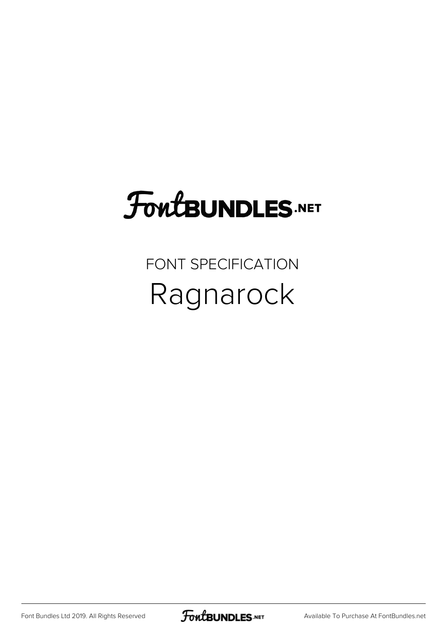### **FoutBUNDLES.NET**

#### FONT SPECIFICATION Ragnarock

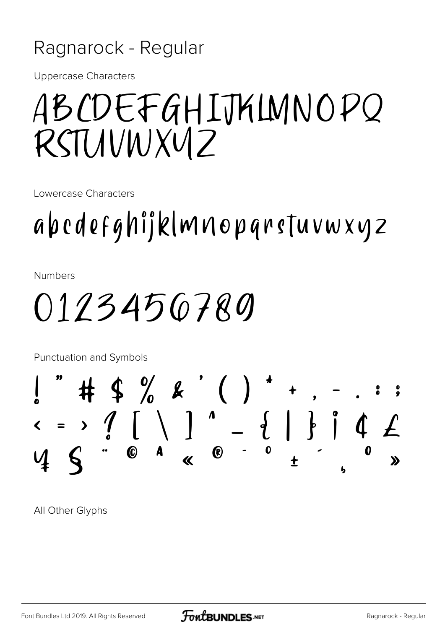#### Ragnarock - Regular

**Uppercase Characters** 

### ABCDEFGHIJKLMNOPQ RSTUNWXVIZ

Lowercase Characters

abcdefghijklmnopqrstuvwxyz

**Numbers** 

0123456780

**Punctuation and Symbols**  $\#$  \$ % & ' ( ) \* +  $x = y$   $\begin{pmatrix} 1 & 1 & 1 \ 1 & 1 & 1 \ 1 & 1 & 1 \end{pmatrix}$   $\begin{pmatrix} 1 & 1 & 1 \ 1 & 1 & 1 \ 1 & 1 & 1 \end{pmatrix}$   $\begin{pmatrix} 1 & 1 & 1 \ 1 & 1 & 1 \ 1 & 1 & 1 \end{pmatrix}$   $\begin{pmatrix} 1 & 1 & 1 \ 1 & 1 & 1 \ 1 & 1 & 1 \end{pmatrix}$  $\mathbf{\Sigma}$ 

All Other Glyphs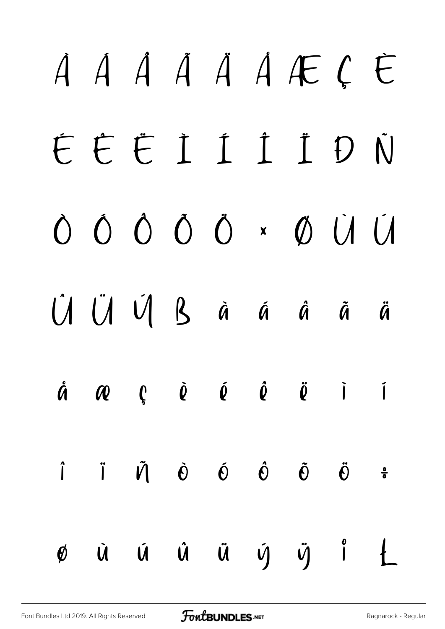# À Á Â Ã Ä Å Æ Ç È É Ê Ë Ì Í Î Ï Ð Ñ Ò Ó Ô Õ Ö × Ø Ù Ú Û Ü Ý ß à á â ã ä å æ ç è é ê ë ì í î ï ñ ò ó ô õ ö ÷  $\emptyset$  ù ú û ü ý ÿ i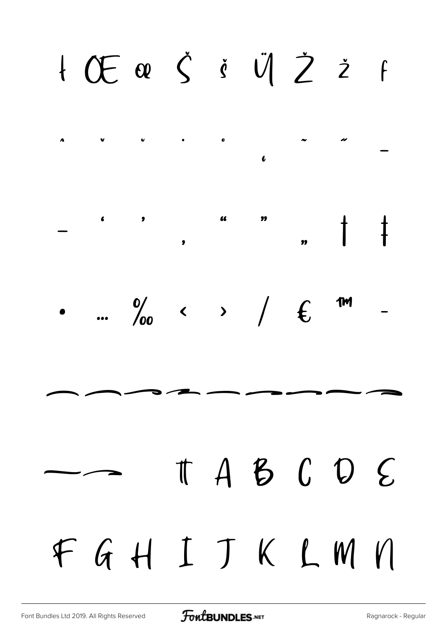## I Œ œ Š Š Ü Ž Ž F





## $\begin{array}{ccccccccc}\n\text{t} & A & B & C & D & E\n\end{array}$ FGHIJKLMN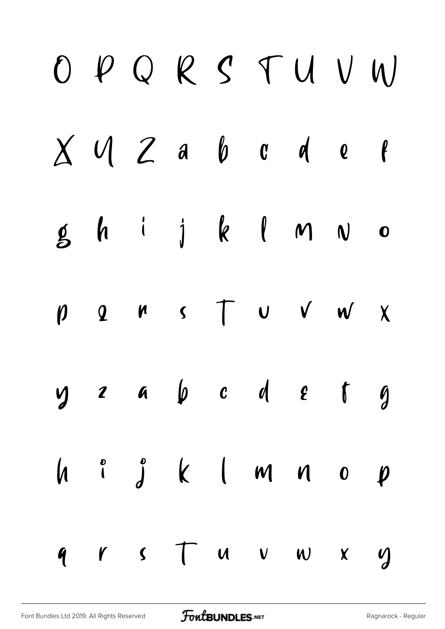|  | OPQRSTUVW                                                           |  |  |  |
|--|---------------------------------------------------------------------|--|--|--|
|  | $X$ $U$ $Z$ a $b$ $c$ $d$ $e$ $f$                                   |  |  |  |
|  | $g$ h i j k l m $v$ o                                               |  |  |  |
|  | $p \quad 2 \quad n \quad s \quad T \quad v \quad v \quad w \quad x$ |  |  |  |
|  | $y$ a $y$ a $y$ a $y$ a $y$                                         |  |  |  |
|  |                                                                     |  |  |  |
|  | $9$ rs $7$ uvwx y                                                   |  |  |  |